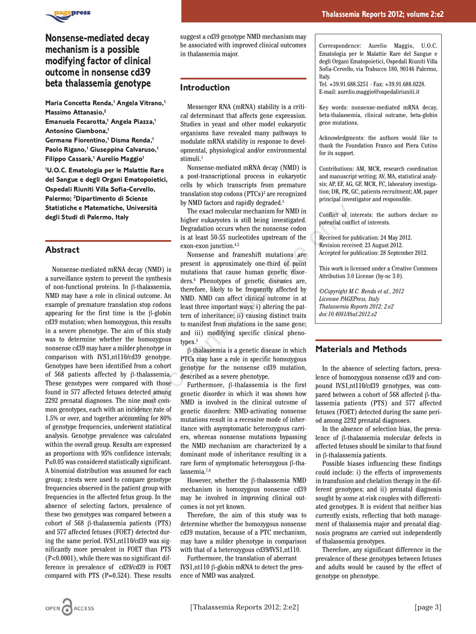

# **Nonsense-mediated decay mechanism is a possible modifying factor of clinical outcome in nonsense cd39 beta thalassemia genotype**

**Maria Concetta Renda,1 Angela Vitrano,1 Massimo Attanasio,2**

**Emanuela Fecarotta,1 Angela Piazza,1 Antonino Giambona,1**

**Germana Fiorentino,1 Disma Renda,1**

**Paolo Rigano,1 Giuseppina Calvaruso,1 Filippo Cassarà,1 Aurelio Maggio1**

**1 U.O.C. Ematologia per le Malattie Rare del Sangue e degli Organi Ematopoietici, Ospedali Riuniti Villa Sofia-Cervello, Palermo; 2 Dipartimento di Scienze Statistiche e Matematiche, Università degli Studi di Palermo, Italy**

## **Abstract**

Nonsense-mediated mRNA decay (NMD) is a surveillance system to prevent the synthesis of non-functional proteins. In β-thalassemia, NMD may have a role in clinical outcome. An example of premature translation stop codons appearing for the first time is the β-globin cd39 mutation; when homozygous, this results in a severe phenotype. The aim of this study was to determine whether the homozygous nonsense cd39 may have a milder phenotype in comparison with IVS1,nt110/cd39 genotype. Genotypes have been identified from a cohort of 568 patients affected by β-thalassemia. These genotypes were compared with those found in 577 affected fetuses detected among 2292 prenatal diagnoses. The nine most common genotypes, each with an incidence rate of 1.5% or over, and together accounting for 80% of genotype frequencies, underwent statistical analysis. Genotype prevalence was calculated within the overall group. Results are expressed as proportions with 95% confidence intervals; P≤0.05 was considered statistically significant. A binomial distribution was assumed for each group; z-tests were used to compare genotype frequencies observed in the patient group with frequencies in the affected fetus group. In the absence of selecting factors, prevalence of these two genotypes was compared between a cohort of 568 β-thalassemia patients (PTS) and 577 affected fetuses (FOET) detected during the same period. IVS1,nt110/cd39 was significantly more prevalent in FOET than PTS (P<0.0001), while there was no significant difference in prevalence of cd39/cd39 in FOET compared with PTS (P=0.524). These results

suggest a cd39 genotype NMD mechanism may be associated with improved clinical outcomes in thalassemia major.

### **Introduction**

Messenger RNA (mRNA) stability is a critical determinant that affects gene expression. Studies in yeast and other model eukaryotic organisms have revealed many pathways to modulate mRNA stability in response to developmental, physiological and/or environmental stimuli.<sup>1</sup>

Nonsense-mediated mRNA decay (NMD) is a post-transcriptional process in eukaryotic cells by which transcripts from premature translation stop codons (PTCs)<sup>2</sup> are recognized by NMD factors and rapidly degraded.3

The exact molecular mechanism for NMD in higher eukaryotes is still being investigated. Degradation occurs when the nonsense codon is at least 50-55 nucleotides upstream of the exon-exon junction.4,5

Nonsense and frameshift mutations are present in approximately one-third of point mutations that cause human genetic disorders.6 Phenotypes of genetic diseases are, therefore, likely to be frequently affected by NMD. NMD can affect clinical outcome in at least three important ways: i) altering the pattern of inheritance; ii) causing distinct traits to manifest from mutations in the same gene; and iii) modifying specific clinical phenotypes.3 **Example 12** The exact molecular mechanism for NMD in<br>
16  $\mu$  metaxt mechanism for NMD in<br>
ligher eukaryotes is still being investigated.<br>
Degradation cocurs when the nonsense codom<br>
is at least 50-55 nucleotides upstrea

β-thalassemia is a genetic disease in which PTCs may have a role in specific homozygous genotype for the nonsense cd39 mutation, described as a severe phenotype.

Furthermore, β-thalassemia is the first genetic disorder in which it was shown how NMD is involved in the clinical outcome of genetic disorders: NMD-activating nonsense mutations result in a recessive mode of inheritance with asymptomatic heterozygous carriers, whereas nonsense mutations bypassing the NMD mechanism are characterized by a dominant mode of inheritance resulting in a rare form of symptomatic heterozygous β-thalassemia.7,8

However, whether the β-thalassemia NMD mechanism in homozygous nonsense cd39 may be involved in improving clinical outcomes is not yet known.

Therefore, the aim of this study was to determine whether the homozygous nonsense cd39 mutation, because of a PTC mechanism, may have a milder phenotype in comparison with that of a heterozygous cd39/IVS1,nt110.

Furthermore, the translation of aberrant IVS1,nt110 β-globin mRNA to detect the presence of NMD was analyzed.

Correspondence: Aurelio Maggio, U.O.C. Ematologia per le Malattie Rare del Sangue e degli Organi Ematopoietici, Ospedali Riuniti Villa Sofia-Cervello, via Trabucco 180, 90146 Palermo, Italy.

Tel. +39.91.688.5251 - Fax: +39.91.688.0228. E-mail: aurelio.maggio@ospedaliriuniti.it

Key words: nonsense-mediated mRNA decay, beta-thalassemia, clinical outcame, beta-globin gene mutations.

Acknowledgments: the authors would like to thank the Foundation Franco and Piera Cutino for its support.

Contributions: AM, MCR, research coordination and manuscript writing; AV, MA, statistical analysis; AP, EF, AG, GF, MCR, FC, laboratory investigation; DR, PR, GC, patients recruitment; AM, paper principal investigator and responsible.

Conflict of interests: the authors declare no potential conflict of interests.

Received for publication: 24 May 2012. Revision received: 23 August 2012. Accepted for publication: 28 September 2012.

This work is licensed under a Creative Commons Attribution 3.0 License (by-nc 3.0).

*©Copyright M.C. Renda et al., 2012 Licensee PAGEPress, Italy Thalassemia Reports 2012; 2:e2 doi:10.4081/thal.2012.e2*

### **Materials and Methods**

In the absence of selecting factors, prevalence of homozygous nonsense cd39 and compound IVS1,nt110/cd39 genotypes, was compared between a cohort of 568 affected β-thalassemia patients (PTS) and 577 affected fetuses (FOET) detected during the same period among 2292 prenatal diagnoses.

In the absence of selection bias, the prevalence of β-thalassemia molecular defects in affected fetuses should be similar to that found in β-thalassemia patients.

Possible biases influencing these findings could include: i) the effects of improvements in transfusion and chelation therapy in the different genotypes; and ii) prenatal diagnosis sought by some at-risk couples with differentiated genotypes. It is evident that neither bias currently exists, reflecting that both management of thalassemia major and prenatal diagnosis programs are carried out independently of thalassemia genotypes.

Therefore, any significant difference in the prevalence of these genotypes between fetuses and adults would be caused by the effect of genotype on phenotype.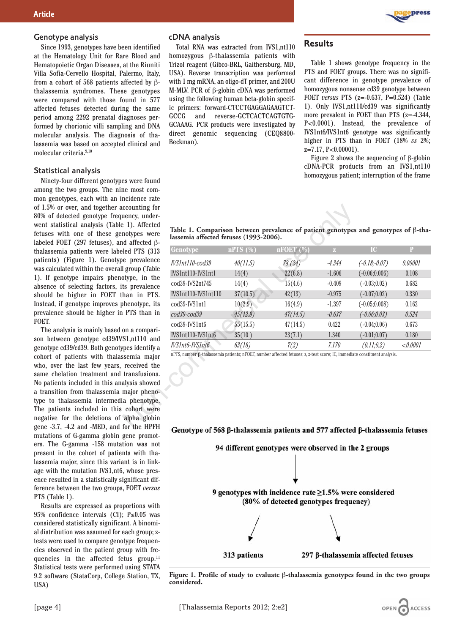#### Genotype analysis

Since 1993, genotypes have been identified at the Hematology Unit for Rare Blood and Hematopoietic Organ Diseases, at the Riuniti Villa Sofia-Cervello Hospital, Palermo, Italy, from a cohort of 568 patients affected by βthalassemia syndromes. These genotypes were compared with those found in 577 affected fetuses detected during the same period among 2292 prenatal diagnoses performed by chorionic villi sampling and DNA molecular analysis. The diagnosis of thalassemia was based on accepted clinical and molecular criteria.9,10

#### Statistical analysis

Ninety-four different genotypes were found among the two groups. The nine most common genotypes, each with an incidence rate of 1.5% or over, and together accounting for 80% of detected genotype frequency, underwent statistical analysis (Table 1). Affected fetuses with one of these genotypes were labeled FOET (297 fetuses), and affected βthalassemia patients were labeled PTS (313 patients) (Figure 1). Genotype prevalence was calculated within the overall group (Table 1). If genotype impairs phenotype, in the absence of selecting factors, its prevalence should be higher in FOET than in PTS. Instead, if genotype improves phenotype, its prevalence should be higher in PTS than in FOET.

The analysis is mainly based on a comparison between genotype cd39/IVS1,nt110 and genotype cd39/cd39. Both genotypes identify a cohort of patients with thalassemia major who, over the last few years, received the same chelation treatment and transfusions. No patients included in this analysis showed a transition from thalassemia major phenotype to thalassemia intermedia phenotype. The patients included in this cohort were negative for the deletions of alpha globin gene -3.7, -4.2 and -MED, and for the HPFH mutations of G-gamma globin gene promoters. The G-gamma -158 mutation was not present in the cohort of patients with thalassemia major, since this variant is in linkage with the mutation IVS1,nt6, whose presence resulted in a statistically significant difference between the two groups, FOET *versus* PTS (Table 1).

Results are expressed as proportions with 95% confidence intervals (CI); P≤0.05 was considered statistically significant. A binomial distribution was assumed for each group; ztests were used to compare genotype frequencies observed in the patient group with frequencies in the affected fetus group.<sup>11</sup> Statistical tests were performed using STATA 9.2 software (StataCorp, College Station, TX, USA)

#### cDNA analysis

Total RNA was extracted from IVS1,nt110 homozygous β-thalassemia patients with Trizol reagent (Gibco-BRL, Gaithersburg, MD, USA). Reverse transcription was performed with 1 mg mRNA, an oligo-dT primer, and 200U M-MLV. PCR of β-globin cDNA was performed using the following human beta-globin specific primers: forward-CTCCTGAGGAGAAGTCT-GCCG and reverse-GCTCACTCAGTGTG-GCAAAG. PCR products were investigated by direct genomic sequencing (CEQ8800- Beckman).



## **Results**

Table 1 shows genotype frequency in the PTS and FOET groups. There was no significant difference in genotype prevalence of homozygous nonsense cd39 genotype between FOET *versus* PTS (z=-0.637, P=0.524) (Table 1). Only IVS1,nt110/cd39 was significantly more prevalent in FOET than PTS (z=-4.344, P<0.0001). Instead, the prevalence of IVS1nt6/IVS1nt6 genotype was significantly higher in PTS than in FOET (18% *vs* 2%; z=7.17, P<0.00001).

Figure 2 shows the sequencing of β-globin cDNA-PCR products from an IVS1,nt110 homozygous patient; interruption of the frame



| eled PTS (313<br>e prevalence<br>IVS1nt110-cod39<br>40(11.5)<br>78 (24)<br>$-4.344$<br>$(-0.18,-0.07)$<br>l group (Table<br>IVS1nt110-IVS1nt1<br>22(6.8)<br>$-1.606$<br>$(-0.06;0.006)$<br>14(4)<br>otype, in the<br>cod39-IVS2nt745<br>15(4.6)<br>$-0.409$<br>$(-0.03;0.02)$<br>14(4)<br>ts prevalence<br>IVS1nt110-IVS1nt110<br>37(10.5)<br>42(13)<br>$-0.975$<br>$(-0.07;0.02)$<br>han in PTS.<br>phenotype, its<br>cod39-IVS1nt1<br>10(2.9)<br>16(4.9)<br>$-1.397$<br>$(-0.05;0.008)$<br>PTS than in<br>cod39-cod39<br>45(12.9)<br>47(14.5)<br>$-0.637$<br>$(-0.06; 0.03)$<br>55(15.5)<br>cod39-IVS1nt6<br>47(14.5)<br>0.422<br>$(-0.04;0.06)$<br>on a compari-<br>IVS1nt110-IVS1nt6<br>35(10)<br>23(7.1)<br>1.340<br>$(-0.01;0.07)$<br>S1,nt110 and<br><b>IVS1nt6-IVS1nt6</b><br>63(18)<br>7(2)<br>7.170<br>(0.11; 0.2)<br>pes identify a<br>nPTS, number $\beta$ -thalassemia patients; nFOET, number affected fetuses; z, z-test score; IC, immediate constituent analysis.<br>ssemia major<br>received the<br>transfusions.<br>alysis showed | Genotype                                                                    | nPTS (%) | nFOET(%) | $\mathbf{Z}$ | IC | P        |
|------------------------------------------------------------------------------------------------------------------------------------------------------------------------------------------------------------------------------------------------------------------------------------------------------------------------------------------------------------------------------------------------------------------------------------------------------------------------------------------------------------------------------------------------------------------------------------------------------------------------------------------------------------------------------------------------------------------------------------------------------------------------------------------------------------------------------------------------------------------------------------------------------------------------------------------------------------------------------------------------------------------------------------------------------|-----------------------------------------------------------------------------|----------|----------|--------------|----|----------|
|                                                                                                                                                                                                                                                                                                                                                                                                                                                                                                                                                                                                                                                                                                                                                                                                                                                                                                                                                                                                                                                      |                                                                             |          |          |              |    | 0.00001  |
|                                                                                                                                                                                                                                                                                                                                                                                                                                                                                                                                                                                                                                                                                                                                                                                                                                                                                                                                                                                                                                                      |                                                                             |          |          |              |    | 0.108    |
|                                                                                                                                                                                                                                                                                                                                                                                                                                                                                                                                                                                                                                                                                                                                                                                                                                                                                                                                                                                                                                                      |                                                                             |          |          |              |    | 0.682    |
|                                                                                                                                                                                                                                                                                                                                                                                                                                                                                                                                                                                                                                                                                                                                                                                                                                                                                                                                                                                                                                                      |                                                                             |          |          |              |    | 0.330    |
|                                                                                                                                                                                                                                                                                                                                                                                                                                                                                                                                                                                                                                                                                                                                                                                                                                                                                                                                                                                                                                                      |                                                                             |          |          |              |    | 0.162    |
|                                                                                                                                                                                                                                                                                                                                                                                                                                                                                                                                                                                                                                                                                                                                                                                                                                                                                                                                                                                                                                                      |                                                                             |          |          |              |    | 0.524    |
|                                                                                                                                                                                                                                                                                                                                                                                                                                                                                                                                                                                                                                                                                                                                                                                                                                                                                                                                                                                                                                                      |                                                                             |          |          |              |    | 0.673    |
|                                                                                                                                                                                                                                                                                                                                                                                                                                                                                                                                                                                                                                                                                                                                                                                                                                                                                                                                                                                                                                                      |                                                                             |          |          |              |    | 0.180    |
|                                                                                                                                                                                                                                                                                                                                                                                                                                                                                                                                                                                                                                                                                                                                                                                                                                                                                                                                                                                                                                                      |                                                                             |          |          |              |    | < 0.0001 |
|                                                                                                                                                                                                                                                                                                                                                                                                                                                                                                                                                                                                                                                                                                                                                                                                                                                                                                                                                                                                                                                      |                                                                             |          |          |              |    |          |
| major pheno-                                                                                                                                                                                                                                                                                                                                                                                                                                                                                                                                                                                                                                                                                                                                                                                                                                                                                                                                                                                                                                         |                                                                             |          |          |              |    |          |
|                                                                                                                                                                                                                                                                                                                                                                                                                                                                                                                                                                                                                                                                                                                                                                                                                                                                                                                                                                                                                                                      |                                                                             |          |          |              |    |          |
| cohort were                                                                                                                                                                                                                                                                                                                                                                                                                                                                                                                                                                                                                                                                                                                                                                                                                                                                                                                                                                                                                                          |                                                                             |          |          |              |    |          |
|                                                                                                                                                                                                                                                                                                                                                                                                                                                                                                                                                                                                                                                                                                                                                                                                                                                                                                                                                                                                                                                      | Construe of 568 B thologenia patients and 577 offected B thologenia fetuses |          |          |              |    |          |

94 different genotypes were observed in the 2 groups 9 genotypes with incidence rate  $\geq$ 1.5% were considered (80% of detected genotypes frequency) 313 patients 297 β-thalassemia affected fetuses

**Figure 1. Profile of study to evaluate** β**-thalassemia genotypes found in the two groups considered.**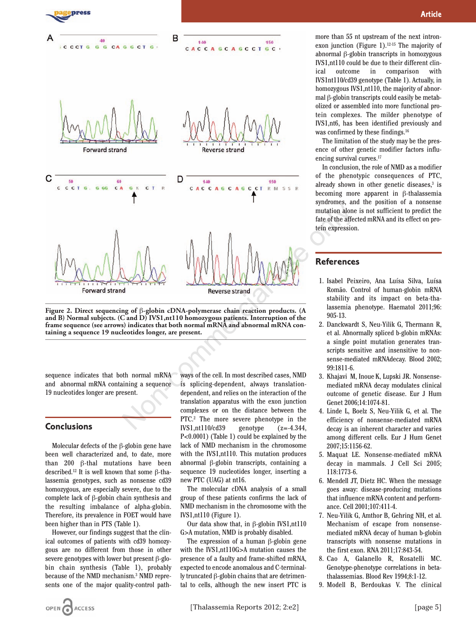

**Article**

more than 55 nt upstream of the next intronexon junction (Figure 1). $12-15$  The majority of abnormal β-globin transcripts in homozygous IVS1,nt110 could be due to their different clinical outcome in comparison with IVS1nt110/cd39 genotype (Table 1). Actually, in homozygous IVS1,nt110, the majority of abnormal β-globin transcripts could easily be metabolized or assembled into more functional protein complexes. The milder phenotype of IVS1,nt6, has been identified previously and was confirmed by these findings.16

The limitation of the study may be the presence of other genetic modifier factors influencing survival curves.<sup>17</sup>

In conclusion, the role of NMD as a modifier of the phenotypic consequences of PTC, already shown in other genetic diseases, $3$  is becoming more apparent in β-thalassemia syndromes, and the position of a nonsense mutation alone is not sufficient to predict the fate of the affected mRNA and its effect on protein expression.

## **References**

- 1. Isabel Peixeiro, Ana Luísa Silva, Luísa Romão. Control of human-globin mRNA stability and its impact on beta-thalassemia phenotype. Haematol 2011;96: 905-13.
- 2. Danckwardt S, Neu-Yilik G, Thermann R, et al. Abnormally spliced b-globin mRNAs: a single point mutation generates transcripts sensitive and insensitive to nonsense-mediated mRNAdecay. Blood 2002; 99:1811-6.
- 3. Khajavi M, Inoue K, Lupski JR. Nonsensemediated mRNA decay modulates clinical outcome of genetic disease. Eur J Hum Genet 2006;14:1074-81.
- 4. Linde L, Boelz S, Neu-Yilik G, et al. The efficiency of nonsense-mediated mRNA decay is an inherent character and varies among different cells. Eur J Hum Genet 2007;15:1156-62.
- 5. Maquat LE. Nonsense-mediated mRNA decay in mammals. J Cell Sci 2005; 118:1773-6.
- 6. Mendell JT, Dietz HC. When the message goes away: disease-producing mutations that influence mRNA content and performance. Cell 2001;107:411-4.
- 7. Neu-Yilik G, Amthor B, Gehring NH, et al. Mechanism of escape from nonsensemediated mRNA decay of human b-globin transcripts with nonsense mutations in the first exon. RNA 2011;17:843-54.
- 8. Cao A, Galanello R, Rosatelli MC. Genotype-phenotype correlations in betathalassemias. Blood Rev 1994;8:1-12.
- 9. Modell B, Berdoukas V. The clinical

**Figure 2. Direct sequencing of** β**-globin cDNA-polymerase chain reaction products. (A and B) Normal subjects. (C and D) IVS1,nt110 homozygous patients. Interruption of the frame sequence (see arrows) indicates that both normal mRNA and abnormal mRNA containing a sequence 19 nucleotides longer, are present.**

sequence indicates that both normal mRNA and abnormal mRNA containing a sequence 19 nucleotides longer are present.

## **Conclusions**

Molecular defects of the β-globin gene have been well characterized and, to date, more than 200 β-thal mutations have been described.12 It is well known that some β-thalassemia genotypes, such as nonsense cd39 homozygous, are especially severe, due to the complete lack of β-globin chain synthesis and the resulting imbalance of alpha-globin. Therefore, its prevalence in FOET would have been higher than in PTS (Table 1).

However, our findings suggest that the clinical outcomes of patients with cd39 homozygous are no different from those in other severe genotypes with lower but present β-globin chain synthesis (Table 1), probably because of the NMD mechanism.3 NMD represents one of the major quality-control path-

ways of the cell. In most described cases, NMD is splicing-dependent, always translationdependent, and relies on the interaction of the translation apparatus with the exon junction complexes or on the distance between the PTC.2 The more severe phenotype in the IVS1,nt110/cd39 genotype (z=-4.344, P<0.0001) (Table 1) could be explained by the lack of NMD mechanism in the chromosome with the IVS1,nt110. This mutation produces abnormal β-globin transcripts, containing a sequence 19 nucleotides longer, inserting a new PTC (UAG) at nt16.

The molecular cDNA analysis of a small group of these patients confirms the lack of NMD mechanism in the chromosome with the IVS1,nt110 (Figure 1).

Our data show that, in β-globin IVS1,nt110 G>A mutation, NMD is probably disabled.

The expression of a human β-globin gene with the IVS1,nt110G>A mutation causes the presence of a faulty and frame-shifted mRNA, expected to encode anomalous and C-terminally truncated β-globin chains that are detrimental to cells, although the new insert PTC is